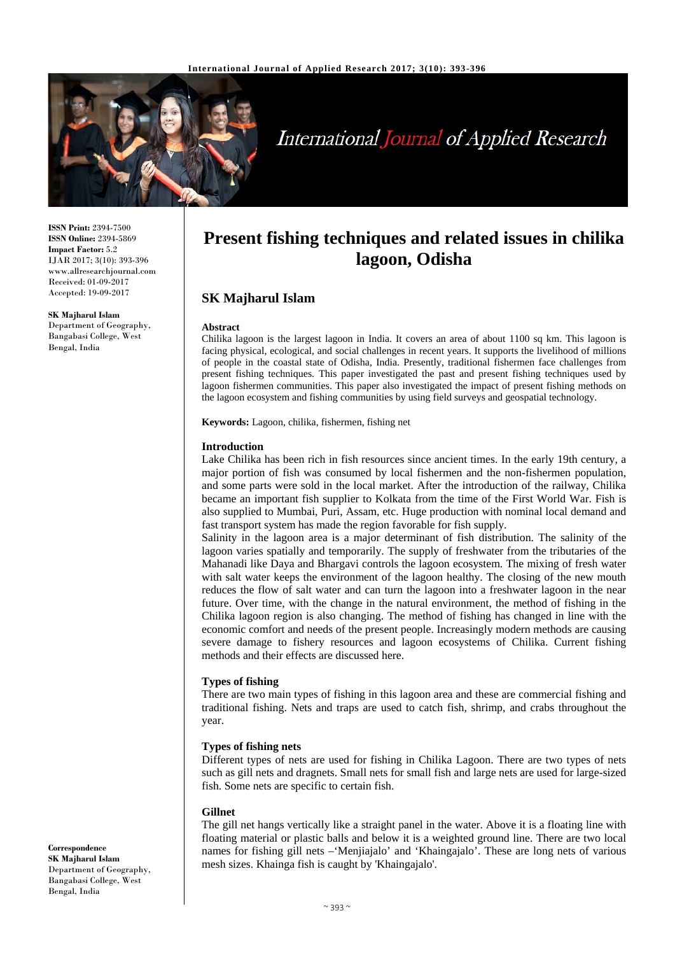

# **International Journal of Applied Research**

**ISSN Print:** 2394-7500 **ISSN Online:** 2394-5869 **Impact Factor:** 5.2 IJAR 2017; 3(10): 393-396 www.allresearchjournal.com Received: 01-09-2017 Accepted: 19-09-2017

**SK Majharul Islam** Department of Geography, Bangabasi College, West Bengal, India

# **Present fishing techniques and related issues in chilika lagoon, Odisha**

# **SK Majharul Islam**

#### **Abstract**

Chilika lagoon is the largest lagoon in India. It covers an area of about 1100 sq km. This lagoon is facing physical, ecological, and social challenges in recent years. It supports the livelihood of millions of people in the coastal state of Odisha, India. Presently, traditional fishermen face challenges from present fishing techniques. This paper investigated the past and present fishing techniques used by lagoon fishermen communities. This paper also investigated the impact of present fishing methods on the lagoon ecosystem and fishing communities by using field surveys and geospatial technology.

**Keywords:** Lagoon, chilika, fishermen, fishing net

#### **Introduction**

Lake Chilika has been rich in fish resources since ancient times. In the early 19th century, a major portion of fish was consumed by local fishermen and the non-fishermen population, and some parts were sold in the local market. After the introduction of the railway, Chilika became an important fish supplier to Kolkata from the time of the First World War. Fish is also supplied to Mumbai, Puri, Assam, etc. Huge production with nominal local demand and fast transport system has made the region favorable for fish supply.

Salinity in the lagoon area is a major determinant of fish distribution. The salinity of the lagoon varies spatially and temporarily. The supply of freshwater from the tributaries of the Mahanadi like Daya and Bhargavi controls the lagoon ecosystem. The mixing of fresh water with salt water keeps the environment of the lagoon healthy. The closing of the new mouth reduces the flow of salt water and can turn the lagoon into a freshwater lagoon in the near future. Over time, with the change in the natural environment, the method of fishing in the Chilika lagoon region is also changing. The method of fishing has changed in line with the economic comfort and needs of the present people. Increasingly modern methods are causing severe damage to fishery resources and lagoon ecosystems of Chilika. Current fishing methods and their effects are discussed here.

# **Types of fishing**

There are two main types of fishing in this lagoon area and these are commercial fishing and traditional fishing. Nets and traps are used to catch fish, shrimp, and crabs throughout the year.

# **Types of fishing nets**

Different types of nets are used for fishing in Chilika Lagoon. There are two types of nets such as gill nets and dragnets. Small nets for small fish and large nets are used for large-sized fish. Some nets are specific to certain fish.

#### **Gillnet**

The gill net hangs vertically like a straight panel in the water. Above it is a floating line with floating material or plastic balls and below it is a weighted ground line. There are two local names for fishing gill nets –'Menjiajalo' and 'Khaingajalo'. These are long nets of various mesh sizes. Khainga fish is caught by 'Khaingajalo'.

**Correspondence SK Majharul Islam** Department of Geography, Bangabasi College, West Bengal, India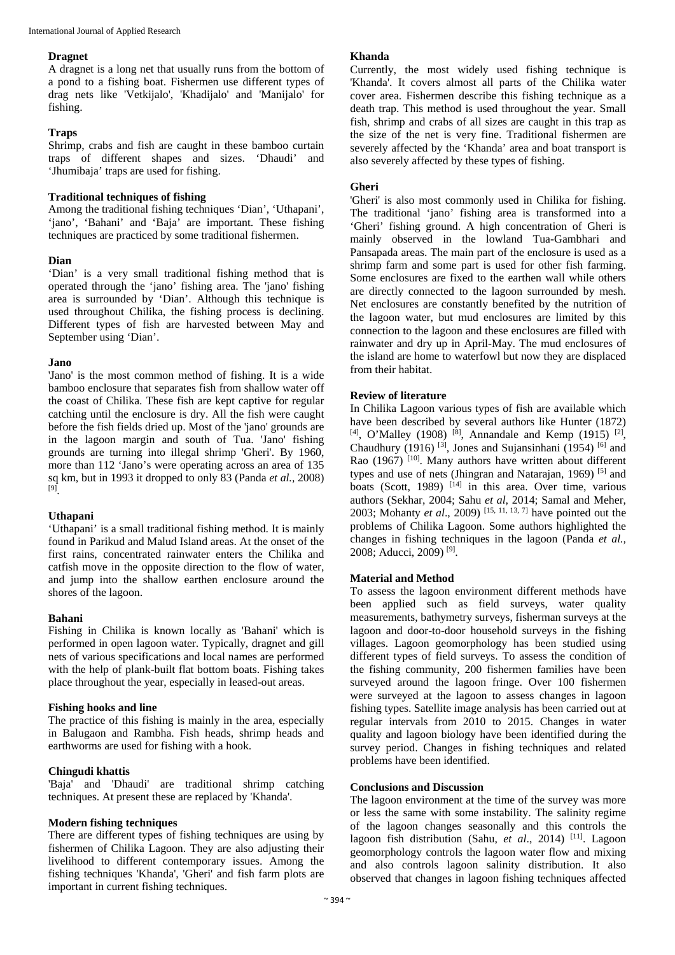## **Dragnet**

A dragnet is a long net that usually runs from the bottom of a pond to a fishing boat. Fishermen use different types of drag nets like 'Vetkijalo', 'Khadijalo' and 'Manijalo' for fishing.

#### **Traps**

Shrimp, crabs and fish are caught in these bamboo curtain traps of different shapes and sizes. 'Dhaudi' and 'Jhumibaja' traps are used for fishing.

## **Traditional techniques of fishing**

Among the traditional fishing techniques 'Dian', 'Uthapani', 'jano', 'Bahani' and 'Baja' are important. These fishing techniques are practiced by some traditional fishermen.

# **Dian**

'Dian' is a very small traditional fishing method that is operated through the 'jano' fishing area. The 'jano' fishing area is surrounded by 'Dian'. Although this technique is used throughout Chilika, the fishing process is declining. Different types of fish are harvested between May and September using 'Dian'.

#### **Jano**

'Jano' is the most common method of fishing. It is a wide bamboo enclosure that separates fish from shallow water off the coast of Chilika. These fish are kept captive for regular catching until the enclosure is dry. All the fish were caught before the fish fields dried up. Most of the 'jano' grounds are in the lagoon margin and south of Tua. 'Jano' fishing grounds are turning into illegal shrimp 'Gheri'. By 1960, more than 112 'Jano's were operating across an area of 135 sq km, but in 1993 it dropped to only 83 (Panda *et al.,* 2008) [9] .

# **Uthapani**

'Uthapani' is a small traditional fishing method. It is mainly found in Parikud and Malud Island areas. At the onset of the first rains, concentrated rainwater enters the Chilika and catfish move in the opposite direction to the flow of water, and jump into the shallow earthen enclosure around the shores of the lagoon.

# **Bahani**

Fishing in Chilika is known locally as 'Bahani' which is performed in open lagoon water. Typically, dragnet and gill nets of various specifications and local names are performed with the help of plank-built flat bottom boats. Fishing takes place throughout the year, especially in leased-out areas.

#### **Fishing hooks and line**

The practice of this fishing is mainly in the area, especially in Balugaon and Rambha. Fish heads, shrimp heads and earthworms are used for fishing with a hook.

# **Chingudi khattis**

'Baja' and 'Dhaudi' are traditional shrimp catching techniques. At present these are replaced by 'Khanda'.

# **Modern fishing techniques**

There are different types of fishing techniques are using by fishermen of Chilika Lagoon. They are also adjusting their livelihood to different contemporary issues. Among the fishing techniques 'Khanda', 'Gheri' and fish farm plots are important in current fishing techniques.

## **Khanda**

Currently, the most widely used fishing technique is 'Khanda'. It covers almost all parts of the Chilika water cover area. Fishermen describe this fishing technique as a death trap. This method is used throughout the year. Small fish, shrimp and crabs of all sizes are caught in this trap as the size of the net is very fine. Traditional fishermen are severely affected by the 'Khanda' area and boat transport is also severely affected by these types of fishing.

#### **Gheri**

'Gheri' is also most commonly used in Chilika for fishing. The traditional 'jano' fishing area is transformed into a 'Gheri' fishing ground. A high concentration of Gheri is mainly observed in the lowland Tua-Gambhari and Pansapada areas. The main part of the enclosure is used as a shrimp farm and some part is used for other fish farming. Some enclosures are fixed to the earthen wall while others are directly connected to the lagoon surrounded by mesh. Net enclosures are constantly benefited by the nutrition of the lagoon water, but mud enclosures are limited by this connection to the lagoon and these enclosures are filled with rainwater and dry up in April-May. The mud enclosures of the island are home to waterfowl but now they are displaced from their habitat.

# **Review of literature**

In Chilika Lagoon various types of fish are available which have been described by several authors like Hunter (1872)  $[4]$ , O'Malley (1908)<sup>[8]</sup>, Annandale and Kemp (1915)<sup>[2]</sup>, Chaudhury (1916)<sup>[3]</sup>, Jones and Sujansinhani (1954)<sup>[6]</sup> and Rao (1967)<sup>[10]</sup>. Many authors have written about different types and use of nets (Jhingran and Natarajan, 1969)<sup>[5]</sup> and boats (Scott, 1989) <sup>[14]</sup> in this area. Over time, various authors (Sekhar, 2004; Sahu *et al*, 2014; Samal and Meher, 2003; Mohanty *et al*., 2009) [15, 11, 13, 7] have pointed out the problems of Chilika Lagoon. Some authors highlighted the changes in fishing techniques in the lagoon (Panda *et al.,* 2008; Aducci, 2009) [9] .

# **Material and Method**

To assess the lagoon environment different methods have been applied such as field surveys, water quality measurements, bathymetry surveys, fisherman surveys at the lagoon and door-to-door household surveys in the fishing villages. Lagoon geomorphology has been studied using different types of field surveys. To assess the condition of the fishing community, 200 fishermen families have been surveyed around the lagoon fringe. Over 100 fishermen were surveyed at the lagoon to assess changes in lagoon fishing types. Satellite image analysis has been carried out at regular intervals from 2010 to 2015. Changes in water quality and lagoon biology have been identified during the survey period. Changes in fishing techniques and related problems have been identified.

#### **Conclusions and Discussion**

The lagoon environment at the time of the survey was more or less the same with some instability. The salinity regime of the lagoon changes seasonally and this controls the lagoon fish distribution (Sahu, et al., 2014)<sup>[11]</sup>. Lagoon geomorphology controls the lagoon water flow and mixing and also controls lagoon salinity distribution. It also observed that changes in lagoon fishing techniques affected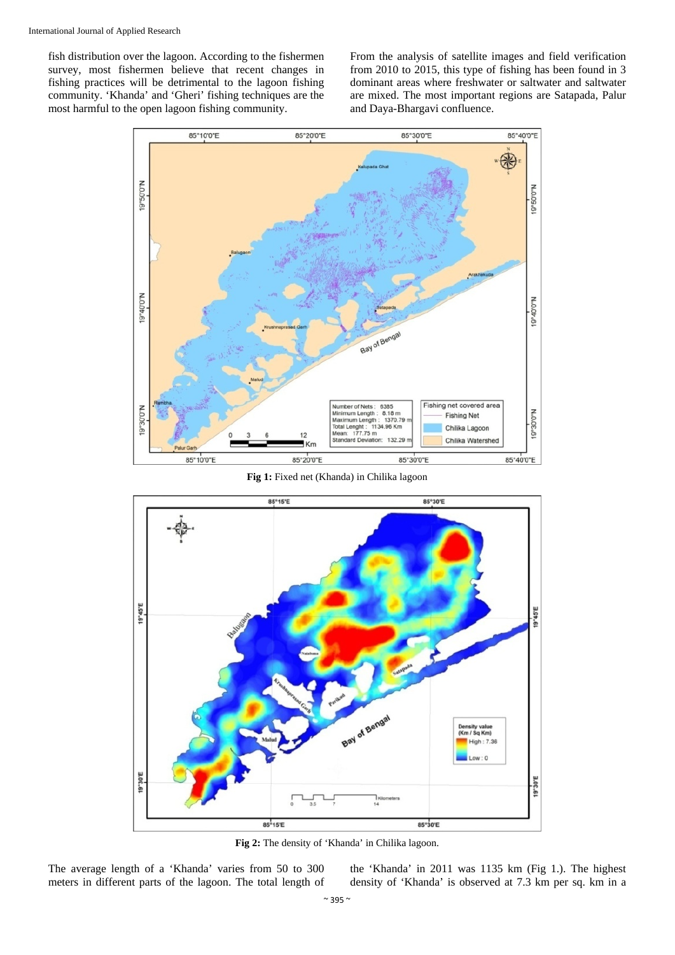fish distribution over the lagoon. According to the fishermen survey, most fishermen believe that recent changes in fishing practices will be detrimental to the lagoon fishing community. 'Khanda' and 'Gheri' fishing techniques are the most harmful to the open lagoon fishing community.

From the analysis of satellite images and field verification from 2010 to 2015, this type of fishing has been found in 3 dominant areas where freshwater or saltwater and saltwater are mixed. The most important regions are Satapada, Palur and Daya-Bhargavi confluence.



**Fig 1:** Fixed net (Khanda) in Chilika lagoon



**Fig 2:** The density of 'Khanda' in Chilika lagoon.

The average length of a 'Khanda' varies from 50 to 300 meters in different parts of the lagoon. The total length of the 'Khanda' in 2011 was 1135 km (Fig 1.). The highest density of 'Khanda' is observed at 7.3 km per sq. km in a